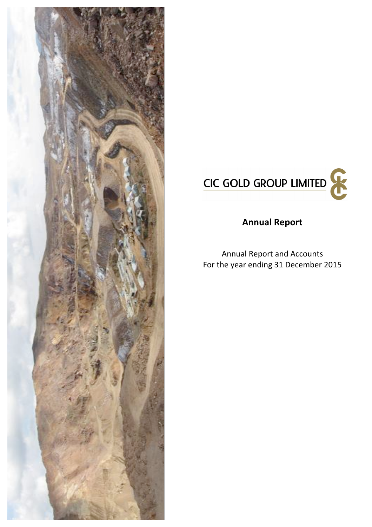



# **Annual Report**

Annual Report and Accounts For the year ending 31 December 2015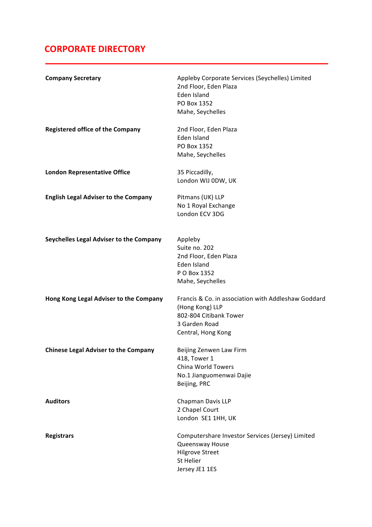# **CORPORATE DIRECTORY**

| <b>Company Secretary</b>                    | Appleby Corporate Services (Seychelles) Limited<br>2nd Floor, Eden Plaza<br>Eden Island<br>PO Box 1352<br>Mahe, Seychelles              |
|---------------------------------------------|-----------------------------------------------------------------------------------------------------------------------------------------|
| <b>Registered office of the Company</b>     | 2nd Floor, Eden Plaza<br>Eden Island<br>PO Box 1352<br>Mahe, Seychelles                                                                 |
| <b>London Representative Office</b>         | 35 Piccadilly,<br>London WIJ 0DW, UK                                                                                                    |
| <b>English Legal Adviser to the Company</b> | Pitmans (UK) LLP<br>No 1 Royal Exchange<br>London ECV 3DG                                                                               |
| Seychelles Legal Adviser to the Company     | Appleby<br>Suite no. 202<br>2nd Floor, Eden Plaza<br>Eden Island<br>P O Box 1352<br>Mahe, Seychelles                                    |
| Hong Kong Legal Adviser to the Company      | Francis & Co. in association with Addleshaw Goddard<br>(Hong Kong) LLP<br>802-804 Citibank Tower<br>3 Garden Road<br>Central, Hong Kong |
| <b>Chinese Legal Adviser to the Company</b> | Beijing Zenwen Law Firm<br>418, Tower 1<br>China World Towers<br>No.1 Jianguomenwai Dajie<br>Beijing, PRC                               |
| <b>Auditors</b>                             | Chapman Davis LLP<br>2 Chapel Court<br>London SE1 1HH, UK                                                                               |
| <b>Registrars</b>                           | Computershare Investor Services (Jersey) Limited<br>Queensway House<br><b>Hilgrove Street</b><br>St Helier<br>Jersey JE1 1ES            |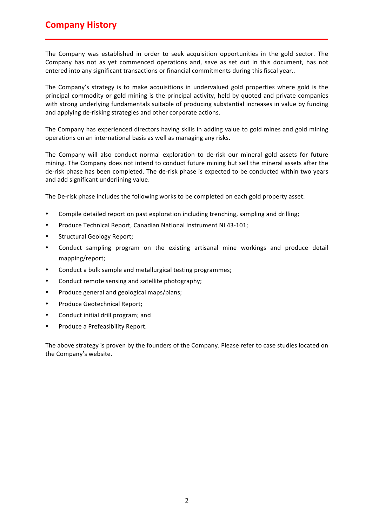# **Company History**

The Company was established in order to seek acquisition opportunities in the gold sector. The Company has not as yet commenced operations and, save as set out in this document, has not entered into any significant transactions or financial commitments during this fiscal year..

The Company's strategy is to make acquisitions in undervalued gold properties where gold is the principal commodity or gold mining is the principal activity, held by quoted and private companies with strong underlying fundamentals suitable of producing substantial increases in value by funding and applying de-risking strategies and other corporate actions.

The Company has experienced directors having skills in adding value to gold mines and gold mining operations on an international basis as well as managing any risks.

The Company will also conduct normal exploration to de-risk our mineral gold assets for future mining. The Company does not intend to conduct future mining but sell the mineral assets after the de-risk phase has been completed. The de-risk phase is expected to be conducted within two years and add significant underlining value.

The De-risk phase includes the following works to be completed on each gold property asset:

- Compile detailed report on past exploration including trenching, sampling and drilling;
- Produce Technical Report, Canadian National Instrument NI 43-101;
- Structural Geology Report;
- Conduct sampling program on the existing artisanal mine workings and produce detail mapping/report;
- Conduct a bulk sample and metallurgical testing programmes;
- Conduct remote sensing and satellite photography;
- Produce general and geological maps/plans;
- Produce Geotechnical Report;
- Conduct initial drill program; and
- Produce a Prefeasibility Report.

The above strategy is proven by the founders of the Company. Please refer to case studies located on the Company's website.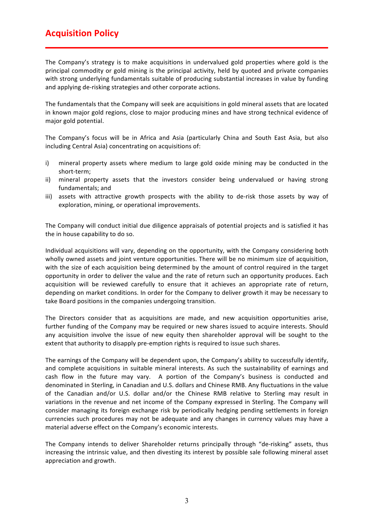# **Acquisition Policy**

The Company's strategy is to make acquisitions in undervalued gold properties where gold is the principal commodity or gold mining is the principal activity, held by quoted and private companies with strong underlying fundamentals suitable of producing substantial increases in value by funding and applying de-risking strategies and other corporate actions.

The fundamentals that the Company will seek are acquisitions in gold mineral assets that are located in known major gold regions, close to major producing mines and have strong technical evidence of major gold potential.

The Company's focus will be in Africa and Asia (particularly China and South East Asia, but also including Central Asia) concentrating on acquisitions of:

- i) mineral property assets where medium to large gold oxide mining may be conducted in the short-term;
- ii) mineral property assets that the investors consider being undervalued or having strong fundamentals; and
- iii) assets with attractive growth prospects with the ability to de-risk those assets by way of exploration, mining, or operational improvements.

The Company will conduct initial due diligence appraisals of potential projects and is satisfied it has the in house capability to do so.

Individual acquisitions will vary, depending on the opportunity, with the Company considering both wholly owned assets and joint venture opportunities. There will be no minimum size of acquisition, with the size of each acquisition being determined by the amount of control required in the target opportunity in order to deliver the value and the rate of return such an opportunity produces. Each acquisition will be reviewed carefully to ensure that it achieves an appropriate rate of return, depending on market conditions. In order for the Company to deliver growth it may be necessary to take Board positions in the companies undergoing transition.

The Directors consider that as acquisitions are made, and new acquisition opportunities arise, further funding of the Company may be required or new shares issued to acquire interests. Should any acquisition involve the issue of new equity then shareholder approval will be sought to the extent that authority to disapply pre-emption rights is required to issue such shares.

The earnings of the Company will be dependent upon, the Company's ability to successfully identify, and complete acquisitions in suitable mineral interests. As such the sustainability of earnings and cash flow in the future may vary. A portion of the Company's business is conducted and denominated in Sterling, in Canadian and U.S. dollars and Chinese RMB. Any fluctuations in the value of the Canadian and/or U.S. dollar and/or the Chinese RMB relative to Sterling may result in variations in the revenue and net income of the Company expressed in Sterling. The Company will consider managing its foreign exchange risk by periodically hedging pending settlements in foreign currencies such procedures may not be adequate and any changes in currency values may have a material adverse effect on the Company's economic interests.

The Company intends to deliver Shareholder returns principally through "de-risking" assets, thus increasing the intrinsic value, and then divesting its interest by possible sale following mineral asset appreciation and growth.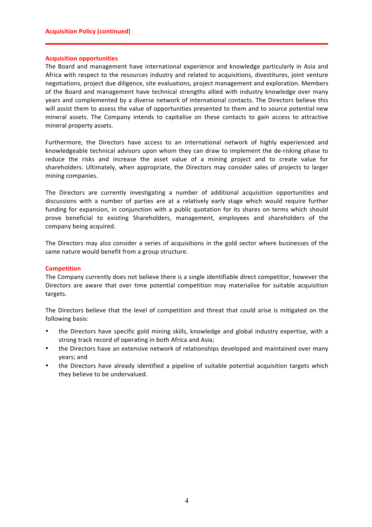### **Acquisition opportunities**

The Board and management have international experience and knowledge particularly in Asia and Africa with respect to the resources industry and related to acquisitions, divestitures, joint venture negotiations, project due diligence, site evaluations, project management and exploration. Members of the Board and management have technical strengths allied with industry knowledge over many years and complemented by a diverse network of international contacts. The Directors believe this will assist them to assess the value of opportunities presented to them and to source potential new mineral assets. The Company intends to capitalise on these contacts to gain access to attractive mineral property assets.

Furthermore, the Directors have access to an international network of highly experienced and knowledgeable technical advisors upon whom they can draw to implement the de-risking phase to reduce the risks and increase the asset value of a mining project and to create value for shareholders. Ultimately, when appropriate, the Directors may consider sales of projects to larger mining companies.

The Directors are currently investigating a number of additional acquisition opportunities and discussions with a number of parties are at a relatively early stage which would require further funding for expansion, in conjunction with a public quotation for its shares on terms which should prove beneficial to existing Shareholders, management, employees and shareholders of the company being acquired.

The Directors may also consider a series of acquisitions in the gold sector where businesses of the same nature would benefit from a group structure.

# **Competition**

The Company currently does not believe there is a single identifiable direct competitor, however the Directors are aware that over time potential competition may materialise for suitable acquisition targets.

The Directors believe that the level of competition and threat that could arise is mitigated on the following basis:

- the Directors have specific gold mining skills, knowledge and global industry expertise, with a strong track record of operating in both Africa and Asia;
- the Directors have an extensive network of relationships developed and maintained over many years; and
- the Directors have already identified a pipeline of suitable potential acquisition targets which they believe to be undervalued.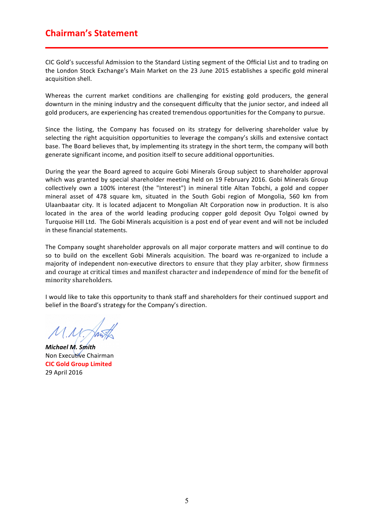# **Chairman's Statement**

CIC Gold's successful Admission to the Standard Listing segment of the Official List and to trading on the London Stock Exchange's Main Market on the 23 June 2015 establishes a specific gold mineral acquisition shell.

Whereas the current market conditions are challenging for existing gold producers, the general downturn in the mining industry and the consequent difficulty that the junior sector, and indeed all gold producers, are experiencing has created tremendous opportunities for the Company to pursue.

Since the listing, the Company has focused on its strategy for delivering shareholder value by selecting the right acquisition opportunities to leverage the company's skills and extensive contact base. The Board believes that, by implementing its strategy in the short term, the company will both generate significant income, and position itself to secure additional opportunities.

During the year the Board agreed to acquire Gobi Minerals Group subject to shareholder approval which was granted by special shareholder meeting held on 19 February 2016. Gobi Minerals Group collectively own a 100% interest (the "Interest") in mineral title Altan Tobchi, a gold and copper mineral asset of 478 square km, situated in the South Gobi region of Mongolia, 560 km from Ulaanbaatar city. It is located adjacent to Mongolian Alt Corporation now in production. It is also located in the area of the world leading producing copper gold deposit Oyu Tolgoi owned by Turquoise Hill Ltd. The Gobi Minerals acquisition is a post end of year event and will not be included in these financial statements.

The Company sought shareholder approvals on all major corporate matters and will continue to do so to build on the excellent Gobi Minerals acquisition. The board was re-organized to include a majority of independent non-executive directors to ensure that they play arbiter, show firmness and courage at critical times and manifest character and independence of mind for the benefit of minority shareholders.

I would like to take this opportunity to thank staff and shareholders for their continued support and belief in the Board's strategy for the Company's direction.

 $M.M$ 

*Michael M. Smith* Non Executive Chairman **CIC Gold Group Limited** 29 April 2016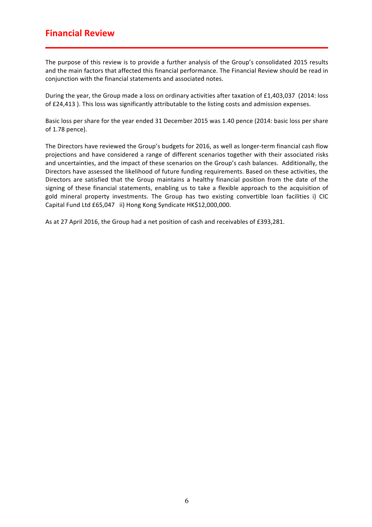# **Financial Review**

The purpose of this review is to provide a further analysis of the Group's consolidated 2015 results and the main factors that affected this financial performance. The Financial Review should be read in conjunction with the financial statements and associated notes.

During the year, the Group made a loss on ordinary activities after taxation of £1,403,037 (2014: loss of £24,413 ). This loss was significantly attributable to the listing costs and admission expenses.

Basic loss per share for the year ended 31 December 2015 was 1.40 pence (2014: basic loss per share of 1.78 pence).

The Directors have reviewed the Group's budgets for 2016, as well as longer-term financial cash flow projections and have considered a range of different scenarios together with their associated risks and uncertainties, and the impact of these scenarios on the Group's cash balances. Additionally, the Directors have assessed the likelihood of future funding requirements. Based on these activities, the Directors are satisfied that the Group maintains a healthy financial position from the date of the signing of these financial statements, enabling us to take a flexible approach to the acquisition of gold mineral property investments. The Group has two existing convertible loan facilities i) CIC Capital Fund Ltd £65,047 ii) Hong Kong Syndicate HK\$12,000,000.

As at 27 April 2016, the Group had a net position of cash and receivables of £393,281.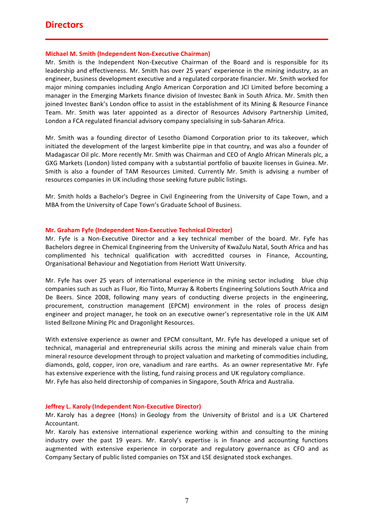# **Directors**

# **Michael M. Smith (Independent Non-Executive Chairman)**

Mr. Smith is the Independent Non-Executive Chairman of the Board and is responsible for its leadership and effectiveness. Mr. Smith has over 25 years' experience in the mining industry, as an engineer, business development executive and a regulated corporate financier. Mr. Smith worked for major mining companies including Anglo American Corporation and JCI Limited before becoming a manager in the Emerging Markets finance division of Investec Bank in South Africa. Mr. Smith then joined Investec Bank's London office to assist in the establishment of its Mining & Resource Finance Team. Mr. Smith was later appointed as a director of Resources Advisory Partnership Limited, London a FCA regulated financial advisory company specialising in sub-Saharan Africa.

Mr. Smith was a founding director of Lesotho Diamond Corporation prior to its takeover, which initiated the development of the largest kimberlite pipe in that country, and was also a founder of Madagascar Oil plc. More recently Mr. Smith was Chairman and CEO of Anglo African Minerals plc, a GXG Markets (London) listed company with a substantial portfolio of bauxite licenses in Guinea. Mr. Smith is also a founder of TAM Resources Limited. Currently Mr. Smith is advising a number of resources companies in UK including those seeking future public listings.

Mr. Smith holds a Bachelor's Degree in Civil Engineering from the University of Cape Town, and a MBA from the University of Cape Town's Graduate School of Business.

# **Mr. Graham Fyfe (Independent Non-Executive Technical Director)**

Mr. Fyfe is a Non-Executive Director and a key technical member of the board. Mr. Fyfe has Bachelors degree in Chemical Engineering from the University of KwaZulu Natal, South Africa and has complimented his technical qualification with accreditted courses in Finance, Accounting, Organisational Behaviour and Negotiation from Heriott Watt University.

Mr. Fyfe has over 25 years of international experience in the mining sector including blue chip companies such as such as Fluor, Rio Tinto, Murray & Roberts Engineering Solutions South Africa and De Beers. Since 2008, following many years of conducting diverse projects in the engineering, procurement, construction management (EPCM) environment in the roles of process design engineer and project manager, he took on an executive owner's representative role in the UK AIM listed Bellzone Mining Plc and Dragonlight Resources.

With extensive experience as owner and EPCM consultant, Mr. Fyfe has developed a unique set of technical, managerial and entrepreneurial skills across the mining and minerals value chain from mineral resource development through to project valuation and marketing of commodities including, diamonds, gold, copper, iron ore, vanadium and rare earths. As an owner representative Mr. Fyfe has extensive experience with the listing, fund raising process and UK regulatory compliance. Mr. Fyfe has also held directorship of companies in Singapore, South Africa and Australia.

### **Jeffrey L. Karoly (Independent Non-Executive Director)**

Mr. Karoly has a degree (Hons) in Geology from the University of Bristol and is a UK Chartered Accountant.

Mr. Karoly has extensive international experience working within and consulting to the mining industry over the past 19 years. Mr. Karoly's expertise is in finance and accounting functions augmented with extensive experience in corporate and regulatory governance as CFO and as Company Sectary of public listed companies on TSX and LSE designated stock exchanges.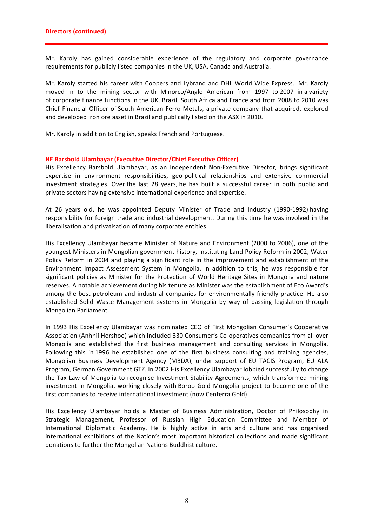Mr. Karoly has gained considerable experience of the regulatory and corporate governance requirements for publicly listed companies in the UK, USA, Canada and Australia.

Mr. Karoly started his career with Coopers and Lybrand and DHL World Wide Express. Mr. Karoly moved in to the mining sector with Minorco/Anglo American from 1997 to 2007 in a variety of corporate finance functions in the UK, Brazil, South Africa and France and from 2008 to 2010 was Chief Financial Officer of South American Ferro Metals, a private company that acquired, explored and developed iron ore asset in Brazil and publically listed on the ASX in 2010.

Mr. Karoly in addition to English, speaks French and Portuguese.

# **HE Barsbold Ulambayar (Executive Director/Chief Executive Officer)**

His Excellency Barsbold Ulambayar, as an Independent Non-Executive Director, brings significant expertise in environment responsibilities, geo-political relationships and extensive commercial investment strategies. Over the last 28 years, he has built a successful career in both public and private sectors having extensive international experience and expertise.

At 26 years old, he was appointed Deputy Minister of Trade and Industry (1990-1992) having responsibility for foreign trade and industrial development. During this time he was involved in the liberalisation and privatisation of many corporate entities.

His Excellency Ulambayar became Minister of Nature and Environment (2000 to 2006), one of the youngest Ministers in Mongolian government history, instituting Land Policy Reform in 2002, Water Policy Reform in 2004 and playing a significant role in the improvement and establishment of the Environment Impact Assessment System in Mongolia. In addition to this, he was responsible for significant policies as Minister for the Protection of World Heritage Sites in Mongolia and nature reserves. A notable achievement during his tenure as Minister was the establishment of Eco Award's among the best petroleum and industrial companies for environmentally friendly practice. He also established Solid Waste Management systems in Mongolia by way of passing legislation through Mongolian Parliament.

In 1993 His Excellency Ulambayar was nominated CEO of First Mongolian Consumer's Cooperative Association (Anhnii Horshoo) which included 330 Consumer's Co-operatives companies from all over Mongolia and established the first business management and consulting services in Mongolia. Following this in 1996 he established one of the first business consulting and training agencies, Mongolian Business Development Agency (MBDA), under support of EU TACIS Program, EU ALA Program, German Government GTZ. In 2002 His Excellency Ulambayar lobbied successfully to change the Tax Law of Mongolia to recognise Investment Stability Agreements, which transformed mining investment in Mongolia, working closely with Boroo Gold Mongolia project to become one of the first companies to receive international investment (now Centerra Gold).

His Excellency Ulambayar holds a Master of Business Administration, Doctor of Philosophy in Strategic Management, Professor of Russian High Education Committee and Member of International Diplomatic Academy. He is highly active in arts and culture and has organised international exhibitions of the Nation's most important historical collections and made significant donations to further the Mongolian Nations Buddhist culture.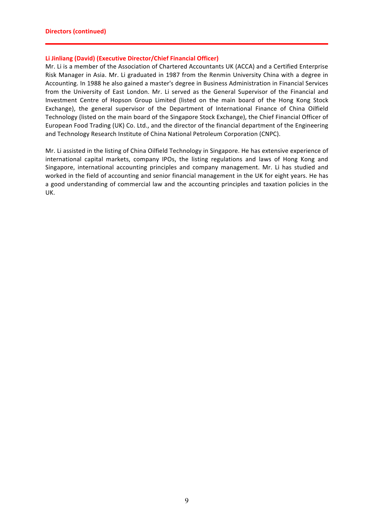# **Li Jinliang (David) (Executive Director/Chief Financial Officer)**

Mr. Li is a member of the Association of Chartered Accountants UK (ACCA) and a Certified Enterprise Risk Manager in Asia. Mr. Li graduated in 1987 from the Renmin University China with a degree in Accounting. In 1988 he also gained a master's degree in Business Administration in Financial Services from the University of East London. Mr. Li served as the General Supervisor of the Financial and Investment Centre of Hopson Group Limited (listed on the main board of the Hong Kong Stock Exchange), the general supervisor of the Department of International Finance of China Oilfield Technology (listed on the main board of the Singapore Stock Exchange), the Chief Financial Officer of European Food Trading (UK) Co. Ltd., and the director of the financial department of the Engineering and Technology Research Institute of China National Petroleum Corporation (CNPC).

Mr. Li assisted in the listing of China Oilfield Technology in Singapore. He has extensive experience of international capital markets, company IPOs, the listing regulations and laws of Hong Kong and Singapore, international accounting principles and company management. Mr. Li has studied and worked in the field of accounting and senior financial management in the UK for eight years. He has a good understanding of commercial law and the accounting principles and taxation policies in the UK.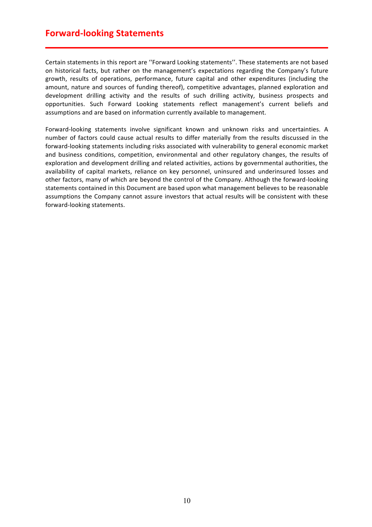# **Forward-looking Statements**

Certain statements in this report are "Forward Looking statements". These statements are not based on historical facts, but rather on the management's expectations regarding the Company's future growth, results of operations, performance, future capital and other expenditures (including the amount, nature and sources of funding thereof), competitive advantages, planned exploration and development drilling activity and the results of such drilling activity, business prospects and opportunities. Such Forward Looking statements reflect management's current beliefs and assumptions and are based on information currently available to management.

Forward-looking statements involve significant known and unknown risks and uncertainties. A number of factors could cause actual results to differ materially from the results discussed in the forward-looking statements including risks associated with vulnerability to general economic market and business conditions, competition, environmental and other regulatory changes, the results of exploration and development drilling and related activities, actions by governmental authorities, the availability of capital markets, reliance on key personnel, uninsured and underinsured losses and other factors, many of which are beyond the control of the Company. Although the forward-looking statements contained in this Document are based upon what management believes to be reasonable assumptions the Company cannot assure investors that actual results will be consistent with these forward-looking statements.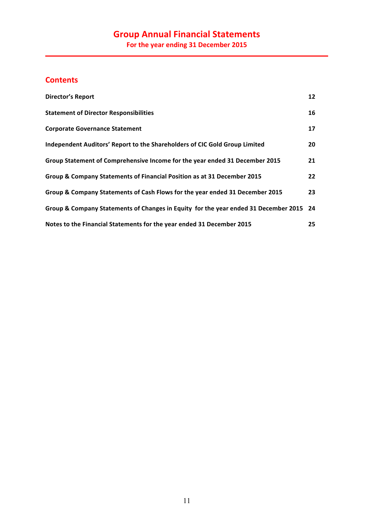# **Contents**

| <b>Director's Report</b>                                                               | 12 <sup>2</sup> |
|----------------------------------------------------------------------------------------|-----------------|
| <b>Statement of Director Responsibilities</b>                                          | 16              |
| <b>Corporate Governance Statement</b>                                                  | 17              |
| Independent Auditors' Report to the Shareholders of CIC Gold Group Limited             | 20              |
| Group Statement of Comprehensive Income for the year ended 31 December 2015            | 21              |
| Group & Company Statements of Financial Position as at 31 December 2015                | 22              |
| Group & Company Statements of Cash Flows for the year ended 31 December 2015           | 23              |
| Group & Company Statements of Changes in Equity for the year ended 31 December 2015 24 |                 |
| Notes to the Financial Statements for the year ended 31 December 2015                  | 25              |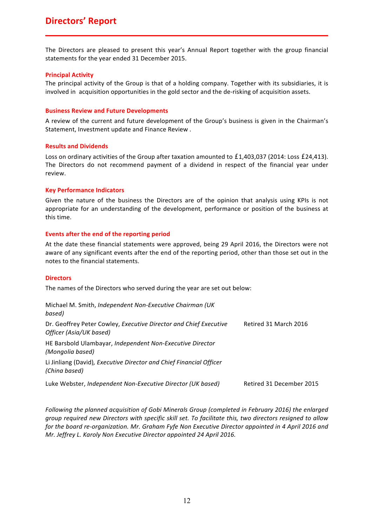# **Directors' Report**

The Directors are pleased to present this year's Annual Report together with the group financial statements for the year ended 31 December 2015.

### **Principal Activity**

The principal activity of the Group is that of a holding company. Together with its subsidiaries, it is involved in acquisition opportunities in the gold sector and the de-risking of acquisition assets.

### **Business Review and Future Developments**

A review of the current and future development of the Group's business is given in the Chairman's Statement, Investment update and Finance Review .

# **Results and Dividends**

Loss on ordinary activities of the Group after taxation amounted to  $£1,403,037$  (2014: Loss  $£24,413$ ). The Directors do not recommend payment of a dividend in respect of the financial year under review.

# **Key Performance Indicators**

Given the nature of the business the Directors are of the opinion that analysis using KPIs is not appropriate for an understanding of the development, performance or position of the business at this time.

# Events after the end of the reporting period

At the date these financial statements were approved, being 29 April 2016, the Directors were not aware of any significant events after the end of the reporting period, other than those set out in the notes to the financial statements.

### **Directors**

The names of the Directors who served during the year are set out below:

| Michael M. Smith, Independent Non-Executive Chairman (UK<br>based)                           |                          |
|----------------------------------------------------------------------------------------------|--------------------------|
| Dr. Geoffrey Peter Cowley, Executive Director and Chief Executive<br>Officer (Asia/UK based) | Retired 31 March 2016    |
| HE Barsbold Ulambayar, Independent Non-Executive Director<br>(Mongolia based)                |                          |
| Li Jinliang (David), Executive Director and Chief Financial Officer<br>(China based)         |                          |
| Luke Webster, Independent Non-Executive Director (UK based)                                  | Retired 31 December 2015 |

*Following* the planned acquisition of Gobi Minerals Group (completed in February 2016) the enlarged *group* required new Directors with specific skill set. To facilitate this, two directors resigned to allow *for* the board re-organization. Mr. Graham Fyfe Non Executive Director appointed in 4 April 2016 and *Mr. Jeffrey L. Karoly Non Executive Director appointed 24 April 2016.*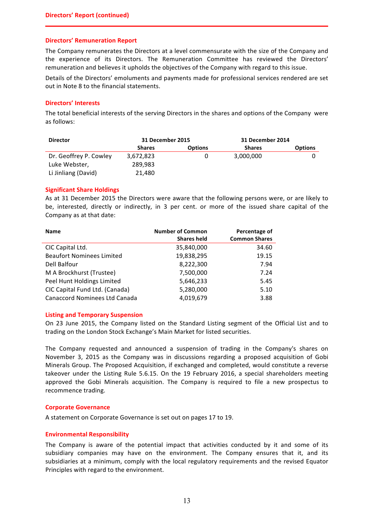### **Directors' Remuneration Report**

The Company remunerates the Directors at a level commensurate with the size of the Company and the experience of its Directors. The Remuneration Committee has reviewed the Directors' remuneration and believes it upholds the objectives of the Company with regard to this issue.

Details of the Directors' emoluments and payments made for professional services rendered are set out in Note 8 to the financial statements.

# **Directors' Interests**

The total beneficial interests of the serving Directors in the shares and options of the Company were as follows:

| <b>Director</b>        | 31 December 2015 |                | 31 December 2014 |                |
|------------------------|------------------|----------------|------------------|----------------|
|                        | <b>Shares</b>    | <b>Options</b> | <b>Shares</b>    | <b>Options</b> |
| Dr. Geoffrey P. Cowley | 3,672,823        |                | 3,000,000        |                |
| Luke Webster,          | 289.983          |                |                  |                |
| Li Jinliang (David)    | 21,480           |                |                  |                |

# **Significant Share Holdings**

As at 31 December 2015 the Directors were aware that the following persons were, or are likely to be, interested, directly or indirectly, in 3 per cent. or more of the issued share capital of the Company as at that date:

| <b>Name</b>                      | <b>Number of Common</b><br><b>Shares held</b> | Percentage of<br><b>Common Shares</b> |
|----------------------------------|-----------------------------------------------|---------------------------------------|
| CIC Capital Ltd.                 | 35,840,000                                    | 34.60                                 |
| <b>Beaufort Nominees Limited</b> | 19,838,295                                    | 19.15                                 |
| Dell Balfour                     | 8,222,300                                     | 7.94                                  |
| M A Brockhurst (Trustee)         | 7,500,000                                     | 7.24                                  |
| Peel Hunt Holdings Limited       | 5,646,233                                     | 5.45                                  |
| CIC Capital Fund Ltd. (Canada)   | 5,280,000                                     | 5.10                                  |
| Canaccord Nominees Ltd Canada    | 4,019,679                                     | 3.88                                  |

### **Listing and Temporary Suspension**

On 23 June 2015, the Company listed on the Standard Listing segment of the Official List and to trading on the London Stock Exchange's Main Market for listed securities.

The Company requested and announced a suspension of trading in the Company's shares on November 3, 2015 as the Company was in discussions regarding a proposed acquisition of Gobi Minerals Group. The Proposed Acquisition, if exchanged and completed, would constitute a reverse takeover under the Listing Rule 5.6.15. On the 19 February 2016, a special shareholders meeting approved the Gobi Minerals acquisition. The Company is required to file a new prospectus to recommence trading.

# **Corporate Governance**

A statement on Corporate Governance is set out on pages 17 to 19.

# **Environmental Responsibility**

The Company is aware of the potential impact that activities conducted by it and some of its subsidiary companies may have on the environment. The Company ensures that it, and its subsidiaries at a minimum, comply with the local regulatory requirements and the revised Equator Principles with regard to the environment.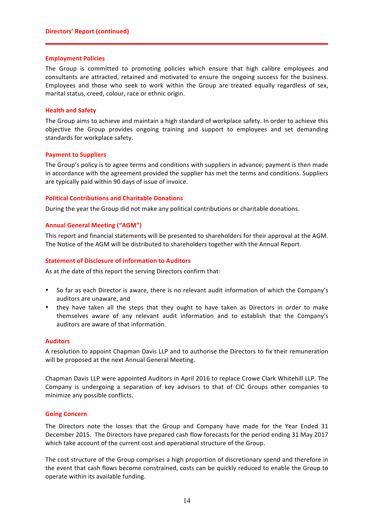### **Employment Policies**

The Group is committed to promoting policies which ensure that high calibre employees and consultants are attracted, retained and motivated to ensure the ongoing success for the business. Employees and those who seek to work within the Group are treated equally regardless of sex, marital status, creed, colour, race or ethnic origin.

# **Health and Safety**

The Group aims to achieve and maintain a high standard of workplace safety. In order to achieve this objective the Group provides ongoing training and support to employees and set demanding standards for workplace safety.

# **Payment to Suppliers**

The Group's policy is to agree terms and conditions with suppliers in advance; payment is then made in accordance with the agreement provided the supplier has met the terms and conditions. Suppliers are typically paid within 90 days of issue of invoice.

# **Political Contributions and Charitable Donations**

During the year the Group did not make any political contributions or charitable donations.

# **Annual General Meeting ("AGM")**

This report and financial statements will be presented to shareholders for their approval at the AGM. The Notice of the AGM will be distributed to shareholders together with the Annual Report.

# **Statement of Disclosure of Information to Auditors**

As at the date of this report the serving Directors confirm that:

- So far as each Director is aware, there is no relevant audit information of which the Company's auditors are unaware, and
- they have taken all the steps that they ought to have taken as Directors in order to make themselves aware of any relevant audit information and to establish that the Company's auditors are aware of that information.

# **Auditors**

A resolution to appoint Chapman Davis LLP and to authorise the Directors to fix their remuneration will be proposed at the next Annual General Meeting.

Chapman Davis LLP were appointed Auditors in April 2016 to replace Crowe Clark Whitehill LLP. The Company is undergoing a separation of key advisors to that of CIC Groups other companies to minimize any possible conflicts.

### **Going Concern**

The Directors note the losses that the Group and Company have made for the Year Ended 31 December 2015. The Directors have prepared cash flow forecasts for the period ending 31 May 2017 which take account of the current cost and operational structure of the Group.

The cost structure of the Group comprises a high proportion of discretionary spend and therefore in the event that cash flows become constrained, costs can be quickly reduced to enable the Group to operate within its available funding.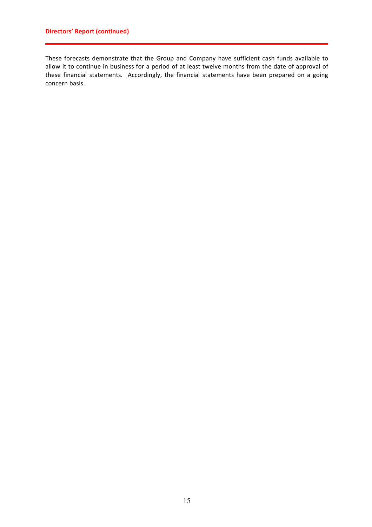# **Directors' Report (continued)**

These forecasts demonstrate that the Group and Company have sufficient cash funds available to allow it to continue in business for a period of at least twelve months from the date of approval of these financial statements. Accordingly, the financial statements have been prepared on a going concern basis.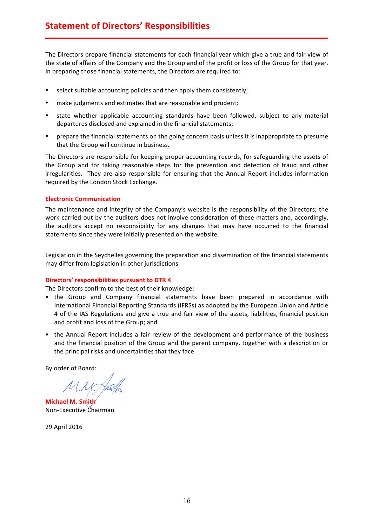The Directors prepare financial statements for each financial year which give a true and fair view of the state of affairs of the Company and the Group and of the profit or loss of the Group for that year. In preparing those financial statements, the Directors are required to:

- select suitable accounting policies and then apply them consistently;
- make judgments and estimates that are reasonable and prudent;
- state whether applicable accounting standards have been followed, subject to any material departures disclosed and explained in the financial statements;
- prepare the financial statements on the going concern basis unless it is inappropriate to presume that the Group will continue in business.

The Directors are responsible for keeping proper accounting records, for safeguarding the assets of the Group and for taking reasonable steps for the prevention and detection of fraud and other irregularities. They are also responsible for ensuring that the Annual Report includes information required by the London Stock Exchange.

# **Electronic Communication**

The maintenance and integrity of the Company's website is the responsibility of the Directors; the work carried out by the auditors does not involve consideration of these matters and, accordingly, the auditors accept no responsibility for any changes that may have occurred to the financial statements since they were initially presented on the website.

Legislation in the Seychelles governing the preparation and dissemination of the financial statements may differ from legislation in other jurisdictions.

# Directors' responsibilities pursuant to DTR 4

The Directors confirm to the best of their knowledge:

- the Group and Company financial statements have been prepared in accordance with International Financial Reporting Standards (IFRSs) as adopted by the European Union and Article 4 of the IAS Regulations and give a true and fair view of the assets, liabilities, financial position and profit and loss of the Group; and
- the Annual Report includes a fair review of the development and performance of the business and the financial position of the Group and the parent company, together with a description or the principal risks and uncertainties that they face.

By order of Board:

 $M.M$ 

**Michael M. Smith** Non-Executive Chairman

29 April 2016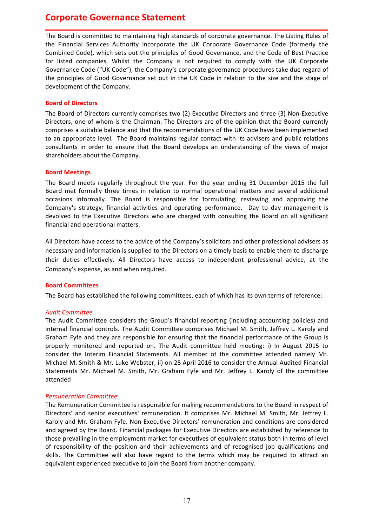# **Corporate Governance Statement**

The Board is committed to maintaining high standards of corporate governance. The Listing Rules of the Financial Services Authority incorporate the UK Corporate Governance Code (formerly the Combined Code), which sets out the principles of Good Governance, and the Code of Best Practice for listed companies. Whilst the Company is not required to comply with the UK Corporate Governance Code ("UK Code"), the Company's corporate governance procedures take due regard of the principles of Good Governance set out in the UK Code in relation to the size and the stage of development of the Company.

# **Board of Directors**

The Board of Directors currently comprises two (2) Executive Directors and three (3) Non-Executive Directors, one of whom is the Chairman. The Directors are of the opinion that the Board currently comprises a suitable balance and that the recommendations of the UK Code have been implemented to an appropriate level. The Board maintains regular contact with its advisers and public relations consultants in order to ensure that the Board develops an understanding of the views of major shareholders about the Company.

# **Board Meetings**

The Board meets regularly throughout the year. For the year ending 31 December 2015 the full Board met formally three times in relation to normal operational matters and several additional occasions informally. The Board is responsible for formulating, reviewing and approving the Company's strategy, financial activities and operating performance. Day to day management is devolved to the Executive Directors who are charged with consulting the Board on all significant financial and operational matters.

All Directors have access to the advice of the Company's solicitors and other professional advisers as necessary and information is supplied to the Directors on a timely basis to enable them to discharge their duties effectively. All Directors have access to independent professional advice, at the Company's expense, as and when required.

# **Board Committees**

The Board has established the following committees, each of which has its own terms of reference:

# *Audit Committee*

The Audit Committee considers the Group's financial reporting (including accounting policies) and internal financial controls. The Audit Committee comprises Michael M. Smith, Jeffrey L. Karoly and Graham Fyfe and they are responsible for ensuring that the financial performance of the Group is properly monitored and reported on. The Audit committee held meeting: i) In August 2015 to consider the Interim Financial Statements. All member of the committee attended namely Mr. Michael M. Smith & Mr. Luke Webster, ii) on 28 April 2016 to consider the Annual Audited Financial Statements Mr. Michael M. Smith, Mr. Graham Fyfe and Mr. Jeffrey L. Karoly of the committee attended

# *Remuneration Committee*

The Remuneration Committee is responsible for making recommendations to the Board in respect of Directors' and senior executives' remuneration. It comprises Mr. Michael M. Smith, Mr. Jeffrey L. Karoly and Mr. Graham Fyfe. Non-Executive Directors' remuneration and conditions are considered and agreed by the Board. Financial packages for Executive Directors are established by reference to those prevailing in the employment market for executives of equivalent status both in terms of level of responsibility of the position and their achievements and of recognised job qualifications and skills. The Committee will also have regard to the terms which may be required to attract an equivalent experienced executive to join the Board from another company.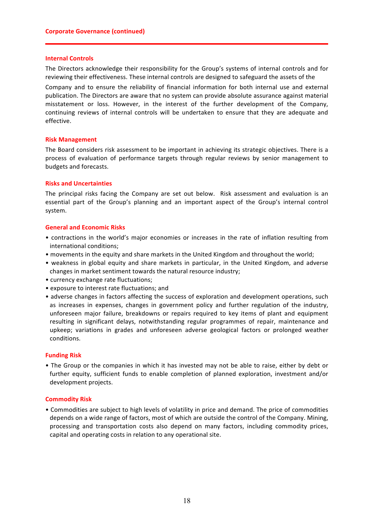### **Internal Controls**

The Directors acknowledge their responsibility for the Group's systems of internal controls and for reviewing their effectiveness. These internal controls are designed to safeguard the assets of the

Company and to ensure the reliability of financial information for both internal use and external publication. The Directors are aware that no system can provide absolute assurance against material misstatement or loss. However, in the interest of the further development of the Company, continuing reviews of internal controls will be undertaken to ensure that they are adequate and effective. 

# **Risk Management**

The Board considers risk assessment to be important in achieving its strategic objectives. There is a process of evaluation of performance targets through regular reviews by senior management to budgets and forecasts.

# **Risks and Uncertainties**

The principal risks facing the Company are set out below. Risk assessment and evaluation is an essential part of the Group's planning and an important aspect of the Group's internal control system.

# **General and Economic Risks**

- contractions in the world's major economies or increases in the rate of inflation resulting from international conditions;
- movements in the equity and share markets in the United Kingdom and throughout the world;
- weakness in global equity and share markets in particular, in the United Kingdom, and adverse changes in market sentiment towards the natural resource industry;
- currency exchange rate fluctuations;
- exposure to interest rate fluctuations; and
- adverse changes in factors affecting the success of exploration and development operations, such as increases in expenses, changes in government policy and further regulation of the industry, unforeseen major failure, breakdowns or repairs required to key items of plant and equipment resulting in significant delays, notwithstanding regular programmes of repair, maintenance and upkeep; variations in grades and unforeseen adverse geological factors or prolonged weather conditions.

### **Funding Risk**

• The Group or the companies in which it has invested may not be able to raise, either by debt or further equity, sufficient funds to enable completion of planned exploration, investment and/or development projects.

# **Commodity Risk**

• Commodities are subject to high levels of volatility in price and demand. The price of commodities depends on a wide range of factors, most of which are outside the control of the Company. Mining, processing and transportation costs also depend on many factors, including commodity prices, capital and operating costs in relation to any operational site.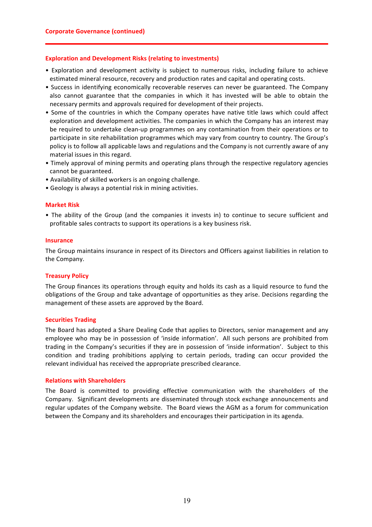### **Exploration and Development Risks (relating to investments)**

- Exploration and development activity is subject to numerous risks, including failure to achieve estimated mineral resource, recovery and production rates and capital and operating costs.
- Success in identifying economically recoverable reserves can never be guaranteed. The Company also cannot guarantee that the companies in which it has invested will be able to obtain the necessary permits and approvals required for development of their projects.
- Some of the countries in which the Company operates have native title laws which could affect exploration and development activities. The companies in which the Company has an interest may be required to undertake clean-up programmes on any contamination from their operations or to participate in site rehabilitation programmes which may vary from country to country. The Group's policy is to follow all applicable laws and regulations and the Company is not currently aware of any material issues in this regard.
- Timely approval of mining permits and operating plans through the respective regulatory agencies cannot be guaranteed.
- Availability of skilled workers is an ongoing challenge.
- Geology is always a potential risk in mining activities.

# **Market Risk**

• The ability of the Group (and the companies it invests in) to continue to secure sufficient and profitable sales contracts to support its operations is a key business risk.

### **Insurance**

The Group maintains insurance in respect of its Directors and Officers against liabilities in relation to the Company.

### **Treasury Policy**

The Group finances its operations through equity and holds its cash as a liquid resource to fund the obligations of the Group and take advantage of opportunities as they arise. Decisions regarding the management of these assets are approved by the Board.

### **Securities Trading**

The Board has adopted a Share Dealing Code that applies to Directors, senior management and any employee who may be in possession of 'inside information'. All such persons are prohibited from trading in the Company's securities if they are in possession of 'inside information'. Subject to this condition and trading prohibitions applying to certain periods, trading can occur provided the relevant individual has received the appropriate prescribed clearance.

### **Relations with Shareholders**

The Board is committed to providing effective communication with the shareholders of the Company. Significant developments are disseminated through stock exchange announcements and regular updates of the Company website. The Board views the AGM as a forum for communication between the Company and its shareholders and encourages their participation in its agenda.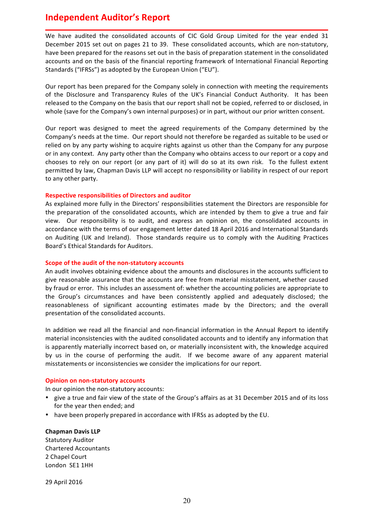# **Independent Auditor's Report**

We have audited the consolidated accounts of CIC Gold Group Limited for the year ended 31 December 2015 set out on pages 21 to 39. These consolidated accounts, which are non-statutory, have been prepared for the reasons set out in the basis of preparation statement in the consolidated accounts and on the basis of the financial reporting framework of International Financial Reporting Standards ("IFRSs") as adopted by the European Union ("EU").

Our report has been prepared for the Company solely in connection with meeting the requirements of the Disclosure and Transparency Rules of the UK's Financial Conduct Authority. It has been released to the Company on the basis that our report shall not be copied, referred to or disclosed, in whole (save for the Company's own internal purposes) or in part, without our prior written consent.

Our report was designed to meet the agreed requirements of the Company determined by the Company's needs at the time. Our report should not therefore be regarded as suitable to be used or relied on by any party wishing to acquire rights against us other than the Company for any purpose or in any context. Any party other than the Company who obtains access to our report or a copy and chooses to rely on our report (or any part of it) will do so at its own risk. To the fullest extent permitted by law, Chapman Davis LLP will accept no responsibility or liability in respect of our report to any other party.

# **Respective responsibilities of Directors and auditor**

As explained more fully in the Directors' responsibilities statement the Directors are responsible for the preparation of the consolidated accounts, which are intended by them to give a true and fair view. Our responsibility is to audit, and express an opinion on, the consolidated accounts in accordance with the terms of our engagement letter dated 18 April 2016 and International Standards on Auditing (UK and Ireland). Those standards require us to comply with the Auditing Practices Board's Ethical Standards for Auditors.

### **Scope of the audit of the non-statutory accounts**

An audit involves obtaining evidence about the amounts and disclosures in the accounts sufficient to give reasonable assurance that the accounts are free from material misstatement, whether caused by fraud or error. This includes an assessment of: whether the accounting policies are appropriate to the Group's circumstances and have been consistently applied and adequately disclosed; the reasonableness of significant accounting estimates made by the Directors; and the overall presentation of the consolidated accounts.

In addition we read all the financial and non-financial information in the Annual Report to identify material inconsistencies with the audited consolidated accounts and to identify any information that is apparently materially incorrect based on, or materially inconsistent with, the knowledge acquired by us in the course of performing the audit. If we become aware of any apparent material misstatements or inconsistencies we consider the implications for our report.

# **Opinion on non-statutory accounts**

In our opinion the non-statutory accounts:

- give a true and fair view of the state of the Group's affairs as at 31 December 2015 and of its loss for the year then ended; and
- have been properly prepared in accordance with IFRSs as adopted by the EU.

# **Chapman Davis LLP** Statutory Auditor

Chartered Accountants 2 Chapel Court London SE1 1HH

29 April 2016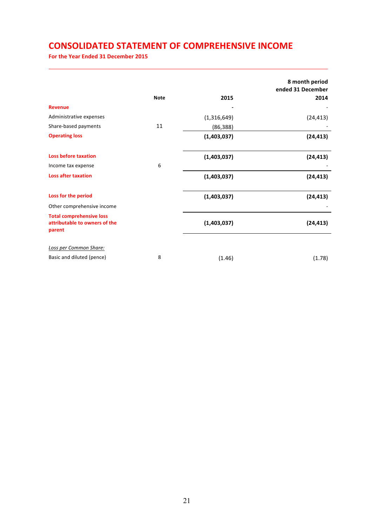# **CONSOLIDATED STATEMENT OF COMPREHENSIVE INCOME**

For the Year Ended 31 December 2015

|                                                                            |             |             | 8 month period<br>ended 31 December |
|----------------------------------------------------------------------------|-------------|-------------|-------------------------------------|
|                                                                            | <b>Note</b> | 2015        | 2014                                |
| <b>Revenue</b>                                                             |             |             |                                     |
| Administrative expenses                                                    |             | (1,316,649) | (24, 413)                           |
| Share-based payments                                                       | 11          | (86, 388)   |                                     |
| <b>Operating loss</b>                                                      |             | (1,403,037) | (24, 413)                           |
| <b>Loss before taxation</b>                                                |             | (1,403,037) | (24, 413)                           |
| Income tax expense                                                         | 6           |             |                                     |
| <b>Loss after taxation</b>                                                 |             | (1,403,037) | (24, 413)                           |
| Loss for the period                                                        |             | (1,403,037) | (24, 413)                           |
| Other comprehensive income                                                 |             |             |                                     |
| <b>Total comprehensive loss</b><br>attributable to owners of the<br>parent |             | (1,403,037) | (24, 413)                           |
| Loss per Common Share:                                                     |             |             |                                     |
| Basic and diluted (pence)                                                  | 8           | (1.46)      | (1.78)                              |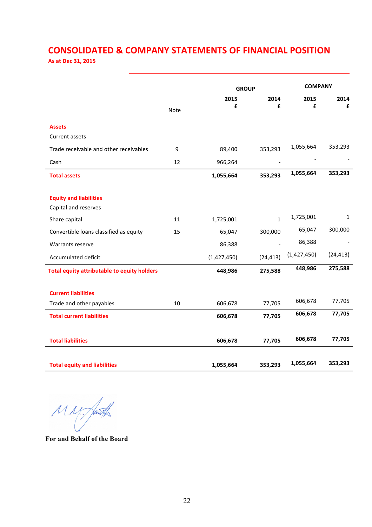# **CONSOLIDATED & COMPANY STATEMENTS OF FINANCIAL POSITION**

**As at Dec 31, 2015**

|                                                    |             |             | <b>GROUP</b> |             | <b>COMPANY</b> |  |
|----------------------------------------------------|-------------|-------------|--------------|-------------|----------------|--|
|                                                    | <b>Note</b> | 2015<br>£   | 2014<br>£    | 2015<br>£   | 2014<br>£      |  |
| <b>Assets</b>                                      |             |             |              |             |                |  |
| <b>Current assets</b>                              |             |             |              |             |                |  |
| Trade receivable and other receivables             | 9           | 89,400      | 353,293      | 1,055,664   | 353,293        |  |
| Cash                                               | 12          | 966,264     |              |             |                |  |
| <b>Total assets</b>                                |             | 1,055,664   | 353,293      | 1,055,664   | 353,293        |  |
|                                                    |             |             |              |             |                |  |
| <b>Equity and liabilities</b>                      |             |             |              |             |                |  |
| Capital and reserves                               |             |             |              | 1,725,001   | 1              |  |
| Share capital                                      | 11          | 1,725,001   | $\mathbf{1}$ |             |                |  |
| Convertible loans classified as equity             | 15          | 65,047      | 300,000      | 65,047      | 300,000        |  |
| Warrants reserve                                   |             | 86,388      |              | 86,388      |                |  |
| Accumulated deficit                                |             | (1,427,450) | (24, 413)    | (1,427,450) | (24, 413)      |  |
| <b>Total equity attributable to equity holders</b> |             | 448,986     | 275,588      | 448,986     | 275,588        |  |
| <b>Current liabilities</b>                         |             |             |              |             |                |  |
| Trade and other payables                           | 10          | 606,678     | 77,705       | 606,678     | 77,705         |  |
| <b>Total current liabilities</b>                   |             | 606,678     | 77,705       | 606,678     | 77,705         |  |
| <b>Total liabilities</b>                           |             | 606,678     | 77,705       | 606,678     | 77,705         |  |
| <b>Total equity and liabilities</b>                |             | 1,055,664   | 353,293      | 1,055,664   | 353,293        |  |

 $M.N.$ 

**For and Behalf of the Board**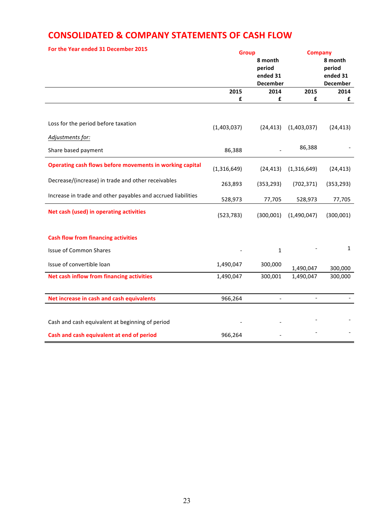# **CONSOLIDATED & COMPANY STATEMENTS OF CASH FLOW**

| For the Year ended 31 December 2015                          |             | <b>Group</b><br>8 month<br>period<br>ended 31<br>December | <b>Company</b> | 8 month<br>period<br>ended 31<br><b>December</b> |
|--------------------------------------------------------------|-------------|-----------------------------------------------------------|----------------|--------------------------------------------------|
|                                                              | 2015        | 2014                                                      | 2015           | 2014                                             |
|                                                              | £           | £                                                         | £              | £                                                |
| Loss for the period before taxation                          | (1,403,037) | (24, 413)                                                 | (1,403,037)    | (24, 413)                                        |
| Adjustments for:                                             |             |                                                           |                |                                                  |
| Share based payment                                          | 86,388      |                                                           | 86,388         |                                                  |
| Operating cash flows before movements in working capital     | (1,316,649) | (24, 413)                                                 | (1,316,649)    | (24, 413)                                        |
| Decrease/(increase) in trade and other receivables           | 263,893     | (353, 293)                                                | (702, 371)     | (353, 293)                                       |
| Increase in trade and other payables and accrued liabilities | 528,973     | 77,705                                                    | 528,973        | 77,705                                           |
| Net cash (used) in operating activities                      | (523, 783)  | (300,001)                                                 | (1,490,047)    | (300,001)                                        |
| <b>Cash flow from financing activities</b>                   |             |                                                           |                |                                                  |
| <b>Issue of Common Shares</b>                                |             | $\mathbf{1}$                                              |                | $\mathbf{1}$                                     |
| Issue of convertible loan                                    | 1,490,047   | 300,000                                                   | 1,490,047      | 300,000                                          |
| Net cash inflow from financing activities                    | 1,490,047   | 300,001                                                   | 1,490,047      | 300,000                                          |
|                                                              |             |                                                           |                |                                                  |
| Net increase in cash and cash equivalents                    | 966,264     | $\overline{a}$                                            |                |                                                  |
| Cash and cash equivalent at beginning of period              |             |                                                           |                |                                                  |
| Cash and cash equivalent at end of period                    | 966,264     |                                                           |                |                                                  |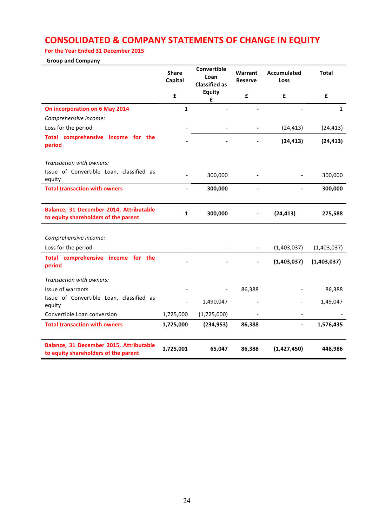# **CONSOLIDATED & COMPANY STATEMENTS OF CHANGE IN EQUITY**

# For the Year Ended 31 December 2015

# **Group and Company**

|                                                                                 | <b>Share</b><br>Capital | Convertible<br>Loan<br><b>Classified as</b> | Warrant<br><b>Reserve</b> | Accumulated<br>Loss | <b>Total</b> |
|---------------------------------------------------------------------------------|-------------------------|---------------------------------------------|---------------------------|---------------------|--------------|
|                                                                                 | £                       | <b>Equity</b><br>£                          | £                         | £                   | £            |
| On incorporation on 6 May 2014                                                  | $\mathbf{1}$            |                                             |                           |                     | $\mathbf{1}$ |
| Comprehensive income:                                                           |                         |                                             |                           |                     |              |
| Loss for the period                                                             |                         |                                             |                           | (24, 413)           | (24, 413)    |
| Total comprehensive income for the<br>period                                    |                         |                                             |                           | (24, 413)           | (24, 413)    |
| Transaction with owners:                                                        |                         |                                             |                           |                     |              |
| Issue of Convertible Loan, classified as<br>equity                              |                         | 300,000                                     |                           |                     | 300,000      |
| <b>Total transaction with owners</b>                                            | $\overline{a}$          | 300,000                                     | $\overline{\phantom{a}}$  |                     | 300,000      |
| Balance, 31 December 2014, Attributable<br>to equity shareholders of the parent | $\mathbf{1}$            | 300,000                                     |                           | (24, 413)           | 275,588      |
|                                                                                 |                         |                                             |                           |                     |              |
| Comprehensive income:                                                           |                         |                                             |                           |                     |              |
| Loss for the period                                                             |                         |                                             |                           | (1,403,037)         | (1,403,037)  |
| Total comprehensive income for the<br>period                                    |                         |                                             |                           | (1,403,037)         | (1,403,037)  |
| Transaction with owners:                                                        |                         |                                             |                           |                     |              |
| <b>Issue of warrants</b>                                                        |                         |                                             | 86,388                    |                     | 86,388       |
| Issue of Convertible Loan, classified as<br>equity                              |                         | 1,490,047                                   |                           |                     | 1,49,047     |
| Convertible Loan conversion                                                     | 1,725,000               | (1,725,000)                                 |                           |                     |              |
| <b>Total transaction with owners</b>                                            | 1,725,000               | (234, 953)                                  | 86,388                    |                     | 1,576,435    |
| Balance, 31 December 2015, Attributable<br>to equity shareholders of the parent | 1,725,001               | 65,047                                      | 86,388                    | (1,427,450)         | 448,986      |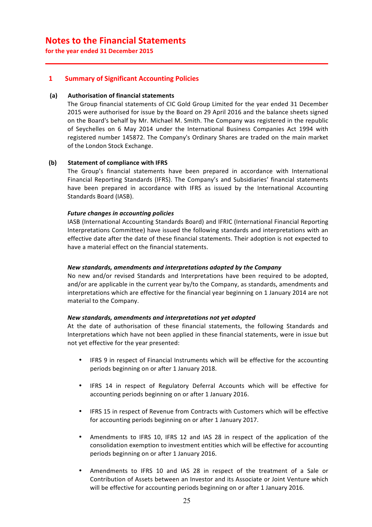# **Notes to the Financial Statements**

for the year ended 31 December 2015

# **1 Summary of Significant Accounting Policies**

# **(a) Authorisation of financial statements**

The Group financial statements of CIC Gold Group Limited for the year ended 31 December 2015 were authorised for issue by the Board on 29 April 2016 and the balance sheets signed on the Board's behalf by Mr. Michael M. Smith. The Company was registered in the republic of Seychelles on 6 May 2014 under the International Business Companies Act 1994 with registered number 145872. The Company's Ordinary Shares are traded on the main market of the London Stock Exchange.

# **(b) Statement of compliance with IFRS**

The Group's financial statements have been prepared in accordance with International Financial Reporting Standards (IFRS). The Company's and Subsidiaries' financial statements have been prepared in accordance with IFRS as issued by the International Accounting Standards Board (IASB).

# **Future changes in accounting policies**

IASB (International Accounting Standards Board) and IFRIC (International Financial Reporting Interpretations Committee) have issued the following standards and interpretations with an effective date after the date of these financial statements. Their adoption is not expected to have a material effect on the financial statements.

### *New standards, amendments and interpretations adopted by the Company*

No new and/or revised Standards and Interpretations have been required to be adopted, and/or are applicable in the current year by/to the Company, as standards, amendments and interpretations which are effective for the financial year beginning on 1 January 2014 are not material to the Company.

### *New standards, amendments and interpretations not yet adopted*

At the date of authorisation of these financial statements, the following Standards and Interpretations which have not been applied in these financial statements, were in issue but not yet effective for the year presented:

- IFRS 9 in respect of Financial Instruments which will be effective for the accounting periods beginning on or after 1 January 2018.
- IFRS 14 in respect of Regulatory Deferral Accounts which will be effective for accounting periods beginning on or after 1 January 2016.
- IFRS 15 in respect of Revenue from Contracts with Customers which will be effective for accounting periods beginning on or after 1 January 2017.
- Amendments to IFRS 10, IFRS 12 and IAS 28 in respect of the application of the consolidation exemption to investment entities which will be effective for accounting periods beginning on or after 1 January 2016.
- Amendments to IFRS 10 and IAS 28 in respect of the treatment of a Sale or Contribution of Assets between an Investor and its Associate or Joint Venture which will be effective for accounting periods beginning on or after 1 January 2016.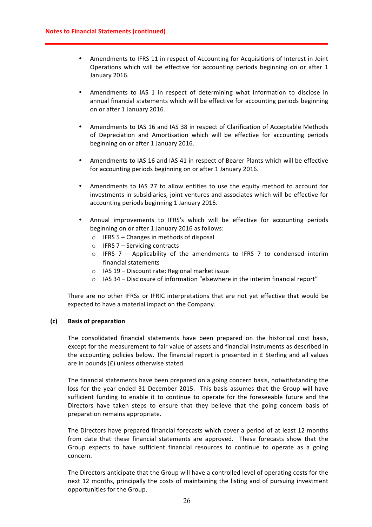- Amendments to IFRS 11 in respect of Accounting for Acquisitions of Interest in Joint Operations which will be effective for accounting periods beginning on or after 1 January 2016.
- Amendments to IAS 1 in respect of determining what information to disclose in annual financial statements which will be effective for accounting periods beginning on or after 1 January 2016.
- Amendments to IAS 16 and IAS 38 in respect of Clarification of Acceptable Methods of Depreciation and Amortisation which will be effective for accounting periods beginning on or after 1 January 2016.
- Amendments to IAS 16 and IAS 41 in respect of Bearer Plants which will be effective for accounting periods beginning on or after 1 January 2016.
- Amendments to IAS 27 to allow entities to use the equity method to account for investments in subsidiaries, joint ventures and associates which will be effective for accounting periods beginning 1 January 2016.
- Annual improvements to IFRS's which will be effective for accounting periods beginning on or after 1 January 2016 as follows:
	- $\circ$  IFRS 5 Changes in methods of disposal
	- $\circ$  IFRS 7 Servicing contracts
	- $\circ$  IFRS 7 Applicability of the amendments to IFRS 7 to condensed interim financial statements
	- $\circ$  IAS 19 Discount rate: Regional market issue
	- $\circ$  IAS 34 Disclosure of information "elsewhere in the interim financial report"

There are no other IFRSs or IFRIC interpretations that are not yet effective that would be expected to have a material impact on the Company.

# **(c) Basis of preparation**

The consolidated financial statements have been prepared on the historical cost basis, except for the measurement to fair value of assets and financial instruments as described in the accounting policies below. The financial report is presented in  $E$  Sterling and all values are in pounds  $(E)$  unless otherwise stated.

The financial statements have been prepared on a going concern basis, notwithstanding the loss for the year ended 31 December 2015. This basis assumes that the Group will have sufficient funding to enable it to continue to operate for the foreseeable future and the Directors have taken steps to ensure that they believe that the going concern basis of preparation remains appropriate.

The Directors have prepared financial forecasts which cover a period of at least 12 months from date that these financial statements are approved. These forecasts show that the Group expects to have sufficient financial resources to continue to operate as a going concern.

The Directors anticipate that the Group will have a controlled level of operating costs for the next 12 months, principally the costs of maintaining the listing and of pursuing investment opportunities for the Group.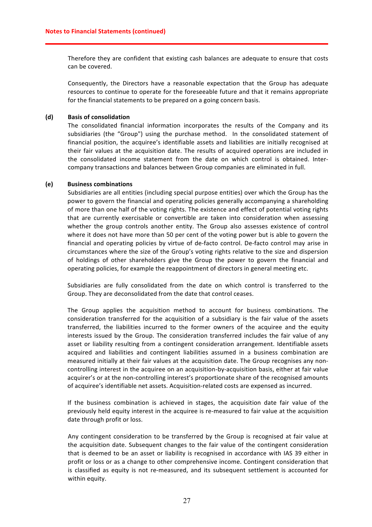Therefore they are confident that existing cash balances are adequate to ensure that costs can be covered.

Consequently, the Directors have a reasonable expectation that the Group has adequate resources to continue to operate for the foreseeable future and that it remains appropriate for the financial statements to be prepared on a going concern basis.

# **(d) Basis of consolidation**

The consolidated financial information incorporates the results of the Company and its subsidiaries (the "Group") using the purchase method. In the consolidated statement of financial position, the acquiree's identifiable assets and liabilities are initially recognised at their fair values at the acquisition date. The results of acquired operations are included in the consolidated income statement from the date on which control is obtained. Intercompany transactions and balances between Group companies are eliminated in full.

# **(e) Business combinations**

Subsidiaries are all entities (including special purpose entities) over which the Group has the power to govern the financial and operating policies generally accompanying a shareholding of more than one half of the voting rights. The existence and effect of potential voting rights that are currently exercisable or convertible are taken into consideration when assessing whether the group controls another entity. The Group also assesses existence of control where it does not have more than 50 per cent of the voting power but is able to govern the financial and operating policies by virtue of de-facto control. De-facto control may arise in circumstances where the size of the Group's voting rights relative to the size and dispersion of holdings of other shareholders give the Group the power to govern the financial and operating policies, for example the reappointment of directors in general meeting etc.

Subsidiaries are fully consolidated from the date on which control is transferred to the Group. They are deconsolidated from the date that control ceases.

The Group applies the acquisition method to account for business combinations. The consideration transferred for the acquisition of a subsidiary is the fair value of the assets transferred, the liabilities incurred to the former owners of the acquiree and the equity interests issued by the Group. The consideration transferred includes the fair value of any asset or liability resulting from a contingent consideration arrangement. Identifiable assets acquired and liabilities and contingent liabilities assumed in a business combination are measured initially at their fair values at the acquisition date. The Group recognises any noncontrolling interest in the acquiree on an acquisition-by-acquisition basis, either at fair value acquirer's or at the non-controlling interest's proportionate share of the recognised amounts of acquiree's identifiable net assets. Acquisition-related costs are expensed as incurred.

If the business combination is achieved in stages, the acquisition date fair value of the previously held equity interest in the acquiree is re-measured to fair value at the acquisition date through profit or loss.

Any contingent consideration to be transferred by the Group is recognised at fair value at the acquisition date. Subsequent changes to the fair value of the contingent consideration that is deemed to be an asset or liability is recognised in accordance with IAS 39 either in profit or loss or as a change to other comprehensive income. Contingent consideration that is classified as equity is not re-measured, and its subsequent settlement is accounted for within equity.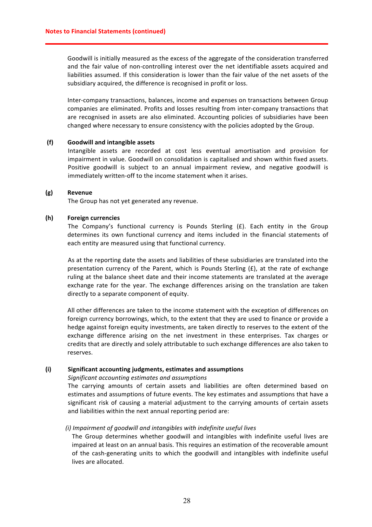Goodwill is initially measured as the excess of the aggregate of the consideration transferred and the fair value of non-controlling interest over the net identifiable assets acquired and liabilities assumed. If this consideration is lower than the fair value of the net assets of the subsidiary acquired, the difference is recognised in profit or loss.

Inter-company transactions, balances, income and expenses on transactions between Group companies are eliminated. Profits and losses resulting from inter-company transactions that are recognised in assets are also eliminated. Accounting policies of subsidiaries have been changed where necessary to ensure consistency with the policies adopted by the Group.

### **(f) Goodwill and intangible assets**

Intangible assets are recorded at cost less eventual amortisation and provision for impairment in value. Goodwill on consolidation is capitalised and shown within fixed assets. Positive goodwill is subject to an annual impairment review, and negative goodwill is immediately written-off to the income statement when it arises.

#### **(g) Revenue**

The Group has not yet generated any revenue.

### **(h) Foreign currencies**

The Company's functional currency is Pounds Sterling  $(E)$ . Each entity in the Group determines its own functional currency and items included in the financial statements of each entity are measured using that functional currency.

As at the reporting date the assets and liabilities of these subsidiaries are translated into the presentation currency of the Parent, which is Pounds Sterling  $(E)$ , at the rate of exchange ruling at the balance sheet date and their income statements are translated at the average exchange rate for the year. The exchange differences arising on the translation are taken directly to a separate component of equity.

All other differences are taken to the income statement with the exception of differences on foreign currency borrowings, which, to the extent that they are used to finance or provide a hedge against foreign equity investments, are taken directly to reserves to the extent of the exchange difference arising on the net investment in these enterprises. Tax charges or credits that are directly and solely attributable to such exchange differences are also taken to reserves.

#### **(i) Significant accounting judgments, estimates and assumptions**

#### *Significant accounting estimates and assumptions*

The carrying amounts of certain assets and liabilities are often determined based on estimates and assumptions of future events. The key estimates and assumptions that have a significant risk of causing a material adjustment to the carrying amounts of certain assets and liabilities within the next annual reporting period are:

### *(i) Impairment of goodwill and intangibles with indefinite useful lives*

The Group determines whether goodwill and intangibles with indefinite useful lives are impaired at least on an annual basis. This requires an estimation of the recoverable amount of the cash-generating units to which the goodwill and intangibles with indefinite useful lives are allocated.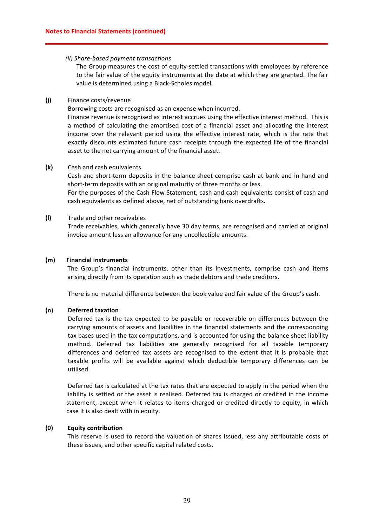# *(ii) Share-based payment transactions*

The Group measures the cost of equity-settled transactions with employees by reference to the fair value of the equity instruments at the date at which they are granted. The fair value is determined using a Black-Scholes model.

# **(j)** Finance costs/revenue

Borrowing costs are recognised as an expense when incurred.

Finance revenue is recognised as interest accrues using the effective interest method. This is a method of calculating the amortised cost of a financial asset and allocating the interest income over the relevant period using the effective interest rate, which is the rate that exactly discounts estimated future cash receipts through the expected life of the financial asset to the net carrying amount of the financial asset.

# **(k)** Cash and cash equivalents

Cash and short-term deposits in the balance sheet comprise cash at bank and in-hand and short-term deposits with an original maturity of three months or less.

For the purposes of the Cash Flow Statement, cash and cash equivalents consist of cash and cash equivalents as defined above, net of outstanding bank overdrafts.

# **(l)** Trade and other receivables

Trade receivables, which generally have 30 day terms, are recognised and carried at original invoice amount less an allowance for any uncollectible amounts.

### **(m) Financial instruments**

The Group's financial instruments, other than its investments, comprise cash and items arising directly from its operation such as trade debtors and trade creditors.

There is no material difference between the book value and fair value of the Group's cash.

### **(n) Deferred taxation**

Deferred tax is the tax expected to be payable or recoverable on differences between the carrying amounts of assets and liabilities in the financial statements and the corresponding tax bases used in the tax computations, and is accounted for using the balance sheet liability method. Deferred tax liabilities are generally recognised for all taxable temporary differences and deferred tax assets are recognised to the extent that it is probable that taxable profits will be available against which deductible temporary differences can be utilised.

Deferred tax is calculated at the tax rates that are expected to apply in the period when the liability is settled or the asset is realised. Deferred tax is charged or credited in the income statement, except when it relates to items charged or credited directly to equity, in which case it is also dealt with in equity.

# **(0) Equity contribution**

This reserve is used to record the valuation of shares issued, less any attributable costs of these issues, and other specific capital related costs.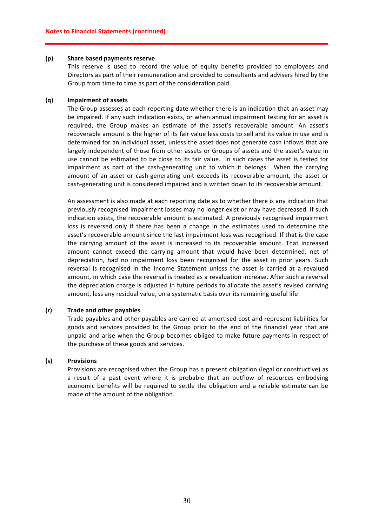### **(p) Share based payments reserve**

This reserve is used to record the value of equity benefits provided to employees and Directors as part of their remuneration and provided to consultants and advisers hired by the Group from time to time as part of the consideration paid.

### **(q) Impairment of assets**

The Group assesses at each reporting date whether there is an indication that an asset may be impaired. If any such indication exists, or when annual impairment testing for an asset is required, the Group makes an estimate of the asset's recoverable amount. An asset's recoverable amount is the higher of its fair value less costs to sell and its value in use and is determined for an individual asset, unless the asset does not generate cash inflows that are largely independent of those from other assets or Groups of assets and the asset's value in use cannot be estimated to be close to its fair value. In such cases the asset is tested for impairment as part of the cash-generating unit to which it belongs. When the carrying amount of an asset or cash-generating unit exceeds its recoverable amount, the asset or cash-generating unit is considered impaired and is written down to its recoverable amount.

An assessment is also made at each reporting date as to whether there is any indication that previously recognised impairment losses may no longer exist or may have decreased. If such indication exists, the recoverable amount is estimated. A previously recognised impairment loss is reversed only if there has been a change in the estimates used to determine the asset's recoverable amount since the last impairment loss was recognised. If that is the case the carrying amount of the asset is increased to its recoverable amount. That increased amount cannot exceed the carrying amount that would have been determined, net of depreciation, had no impairment loss been recognised for the asset in prior years. Such reversal is recognised in the Income Statement unless the asset is carried at a revalued amount, in which case the reversal is treated as a revaluation increase. After such a reversal the depreciation charge is adjusted in future periods to allocate the asset's revised carrying amount, less any residual value, on a systematic basis over its remaining useful life

### **(r) Trade and other payables**

Trade payables and other payables are carried at amortised cost and represent liabilities for goods and services provided to the Group prior to the end of the financial year that are unpaid and arise when the Group becomes obliged to make future payments in respect of the purchase of these goods and services.

# **(s) Provisions**

Provisions are recognised when the Group has a present obligation (legal or constructive) as a result of a past event where it is probable that an outflow of resources embodying economic benefits will be required to settle the obligation and a reliable estimate can be made of the amount of the obligation.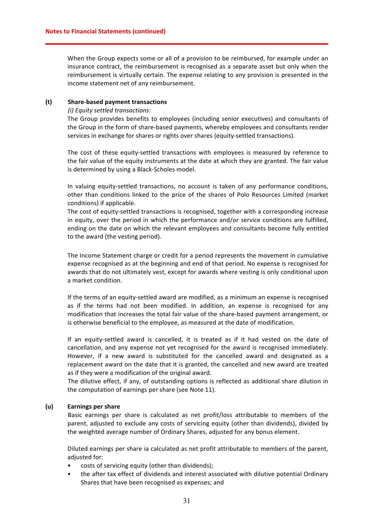When the Group expects some or all of a provision to be reimbursed, for example under an insurance contract, the reimbursement is recognised as a separate asset but only when the reimbursement is virtually certain. The expense relating to any provision is presented in the income statement net of any reimbursement.

### **(t) Share-based payment transactions**

### *(i) Equity settled transactions:*

The Group provides benefits to employees (including senior executives) and consultants of the Group in the form of share-based payments, whereby employees and consultants render services in exchange for shares or rights over shares (equity-settled transactions).

The cost of these equity-settled transactions with employees is measured by reference to the fair value of the equity instruments at the date at which they are granted. The fair value is determined by using a Black-Scholes model.

In valuing equity-settled transactions, no account is taken of any performance conditions, other than conditions linked to the price of the shares of Polo Resources Limited (market conditions) if applicable.

The cost of equity-settled transactions is recognised, together with a corresponding increase in equity, over the period in which the performance and/or service conditions are fulfilled, ending on the date on which the relevant employees and consultants become fully entitled to the award (the vesting period).

The Income Statement charge or credit for a period represents the movement in cumulative expense recognised as at the beginning and end of that period. No expense is recognised for awards that do not ultimately vest, except for awards where vesting is only conditional upon a market condition.

If the terms of an equity-settled award are modified, as a minimum an expense is recognised as if the terms had not been modified. In addition, an expense is recognised for any modification that increases the total fair value of the share-based payment arrangement, or is otherwise beneficial to the employee, as measured at the date of modification.

If an equity-settled award is cancelled, it is treated as if it had vested on the date of cancellation, and any expense not yet recognised for the award is recognised immediately. However, if a new award is substituted for the cancelled award and designated as a replacement award on the date that it is granted, the cancelled and new award are treated as if they were a modification of the original award.

The dilutive effect, if any, of outstanding options is reflected as additional share dilution in the computation of earnings per share (see Note 11).

# **(u) Earnings per share**

Basic earnings per share is calculated as net profit/loss attributable to members of the parent, adjusted to exclude any costs of servicing equity (other than dividends), divided by the weighted average number of Ordinary Shares, adjusted for any bonus element.

Diluted earnings per share ia calculated as net profit attributable to members of the parent, adjusted for:

- costs of servicing equity (other than dividends);
- the after tax effect of dividends and interest associated with dilutive potential Ordinary Shares that have been recognised as expenses; and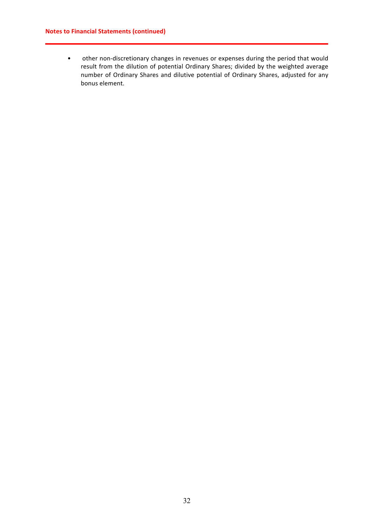# **Notes to Financial Statements (continued)**

• other non-discretionary changes in revenues or expenses during the period that would result from the dilution of potential Ordinary Shares; divided by the weighted average number of Ordinary Shares and dilutive potential of Ordinary Shares, adjusted for any bonus element.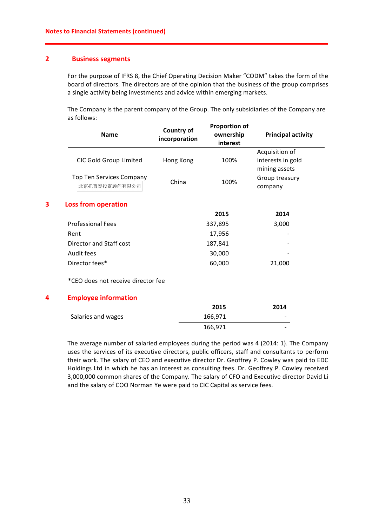# **2 Business segments**

For the purpose of IFRS 8, the Chief Operating Decision Maker "CODM" takes the form of the board of directors. The directors are of the opinion that the business of the group comprises a single activity being investments and advice within emerging markets.

The Company is the parent company of the Group. The only subsidiaries of the Company are as follows:

|   | <b>Name</b>                                      | Country of<br>incorporation | <b>Proportion of</b><br>ownership<br>interest | <b>Principal activity</b> |
|---|--------------------------------------------------|-----------------------------|-----------------------------------------------|---------------------------|
|   |                                                  |                             |                                               | Acquisition of            |
|   | CIC Gold Group Limited                           | Hong Kong                   | 100%                                          | interests in gold         |
|   |                                                  |                             |                                               | mining assets             |
|   | <b>Top Ten Services Company</b><br>北京托普泰投资顾问有限公司 | China                       | 100%                                          | Group treasury<br>company |
| 3 | <b>Loss from operation</b>                       |                             |                                               |                           |
|   |                                                  |                             | 2015                                          | 2014                      |
|   | <b>Professional Fees</b>                         |                             | 337,895                                       | 3,000                     |
|   | Rent                                             |                             | 17,956                                        |                           |
|   | Director and Staff cost                          |                             | 187,841                                       |                           |
|   | Audit fees                                       |                             | 30,000                                        |                           |
|   | Director fees*                                   |                             | 60,000                                        | 21,000                    |
|   | *CEO does not receive director fee               |                             |                                               |                           |
| 4 | <b>Employee information</b>                      |                             |                                               |                           |
|   |                                                  |                             | 2015                                          | 2014                      |
|   | Salaries and wages                               |                             | 166,971                                       |                           |
|   |                                                  |                             | 166,971                                       |                           |

The average number of salaried employees during the period was 4 (2014: 1). The Company uses the services of its executive directors, public officers, staff and consultants to perform their work. The salary of CEO and executive director Dr. Geoffrey P. Cowley was paid to EDC Holdings Ltd in which he has an interest as consulting fees. Dr. Geoffrey P. Cowley received 3,000,000 common shares of the Company. The salary of CFO and Executive director David Li and the salary of COO Norman Ye were paid to CIC Capital as service fees.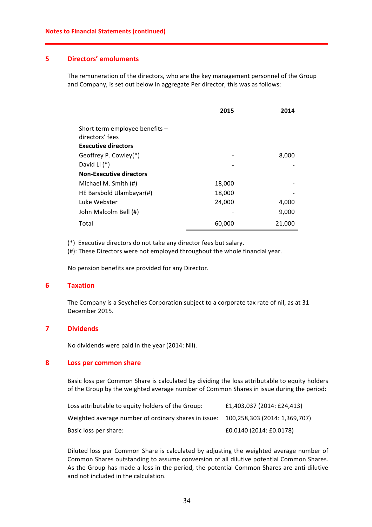# **5 Directors' emoluments**

The remuneration of the directors, who are the key management personnel of the Group and Company, is set out below in aggregate Per director, this was as follows:

|                                | 2015   | 2014   |
|--------------------------------|--------|--------|
| Short term employee benefits - |        |        |
| directors' fees                |        |        |
| <b>Executive directors</b>     |        |        |
| Geoffrey P. Cowley(*)          |        | 8,000  |
| David Li (*)                   |        |        |
| Non-Executive directors        |        |        |
| Michael M. Smith (#)           | 18,000 |        |
| HE Barsbold Ulambayar(#)       | 18,000 |        |
| Luke Webster                   | 24,000 | 4,000  |
| John Malcolm Bell (#)          |        | 9,000  |
| Total                          | 60,000 | 21,000 |

(\*) Executive directors do not take any director fees but salary.

 $(4)$ : These Directors were not employed throughout the whole financial year.

No pension benefits are provided for any Director.

# **6 Taxation**

The Company is a Seychelles Corporation subject to a corporate tax rate of nil, as at 31 December 2015.

# **7 Dividends**

No dividends were paid in the year (2014: Nil).

# **8 Loss per common share**

Basic loss per Common Share is calculated by dividing the loss attributable to equity holders of the Group by the weighted average number of Common Shares in issue during the period:

| Loss attributable to equity holders of the Group:                                  | £1,403,037 (2014: £24,413) |
|------------------------------------------------------------------------------------|----------------------------|
| Weighted average number of ordinary shares in issue: 100,258,303 (2014: 1,369,707) |                            |
| Basic loss per share:                                                              | £0.0140 (2014: £0.0178)    |

Diluted loss per Common Share is calculated by adjusting the weighted average number of Common Shares outstanding to assume conversion of all dilutive potential Common Shares. As the Group has made a loss in the period, the potential Common Shares are anti-dilutive and not included in the calculation.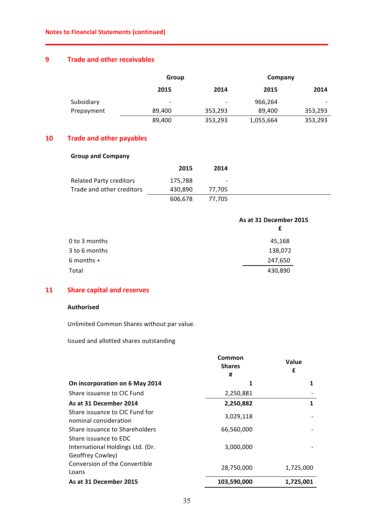# **9 Trade and other receivables**

|            | Group                    |                          |           | Company |  |
|------------|--------------------------|--------------------------|-----------|---------|--|
|            | 2015                     | 2014                     | 2015      | 2014    |  |
| Subsidiary | $\overline{\phantom{0}}$ | $\overline{\phantom{0}}$ | 966,264   |         |  |
| Prepayment | 89,400                   | 353,293                  | 89,400    | 353,293 |  |
|            | 89,400                   | 353,293                  | 1,055,664 | 353,293 |  |

# **10 Trade and other payables**

# **Group and Company**

|                                | 2015    | 2014                     |
|--------------------------------|---------|--------------------------|
| <b>Related Party creditors</b> | 175,788 | $\overline{\phantom{a}}$ |
| Trade and other creditors      | 430,890 | 77.705                   |
|                                | 606,678 | 77.705                   |

|               | As at 31 December 2015 |
|---------------|------------------------|
|               | £                      |
| 0 to 3 months | 45,168                 |
| 3 to 6 months | 138,072                |
| $6$ months +  | 247,650                |
| Total         | 430,890                |

# **11 Share capital and reserves**

# **Authorised**

Unlimited Common Shares without par value.

Issued and allotted shares outstanding

|                                                         | Common<br><b>Shares</b><br># | Value<br>£ |
|---------------------------------------------------------|------------------------------|------------|
| On incorporation on 6 May 2014                          | 1                            |            |
| Share issuance to CIC Fund                              | 2,250,881                    |            |
| As at 31 December 2014                                  | 2,250,882                    | 1          |
| Share issuance to CIC Fund for<br>nominal consideration | 3,029,118                    |            |
| Share issuance to Shareholders<br>Share issuance to EDC | 66,560,000                   |            |
| International Holdings Ltd. (Dr.<br>Geoffrey Cowley)    | 3,000,000                    |            |
| Conversion of the Convertible<br>Loans                  | 28,750,000                   | 1,725,000  |
| As at 31 December 2015                                  | 103,590,000                  | 1,725,001  |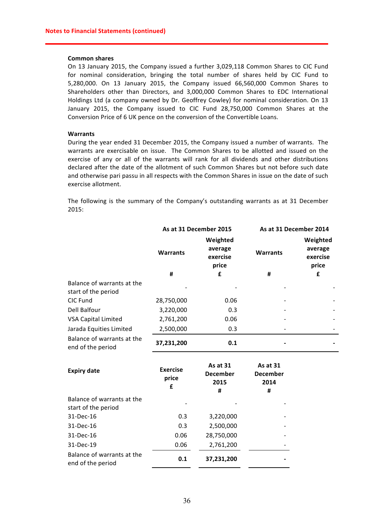#### **Common shares**

On 13 January 2015, the Company issued a further 3,029,118 Common Shares to CIC Fund for nominal consideration, bringing the total number of shares held by CIC Fund to 5,280,000. On 13 January 2015, the Company issued 66,560,000 Common Shares to Shareholders other than Directors, and 3,000,000 Common Shares to EDC International Holdings Ltd (a company owned by Dr. Geoffrey Cowley) for nominal consideration. On 13 January 2015, the Company issued to CIC Fund 28,750,000 Common Shares at the Conversion Price of 6 UK pence on the conversion of the Convertible Loans.

## **Warrants**

During the year ended 31 December 2015, the Company issued a number of warrants. The warrants are exercisable on issue. The Common Shares to be allotted and issued on the exercise of any or all of the warrants will rank for all dividends and other distributions declared after the date of the allotment of such Common Shares but not before such date and otherwise pari passu in all respects with the Common Shares in issue on the date of such exercise allotment.

The following is the summary of the Company's outstanding warrants as at 31 December 2015:

|                                                   | As at 31 December 2015        |                                          | As at 31 December 2014                   |                                          |
|---------------------------------------------------|-------------------------------|------------------------------------------|------------------------------------------|------------------------------------------|
|                                                   | <b>Warrants</b>               | Weighted<br>average<br>exercise<br>price | <b>Warrants</b>                          | Weighted<br>average<br>exercise<br>price |
|                                                   | #                             | £                                        | #                                        | £                                        |
| Balance of warrants at the<br>start of the period |                               |                                          |                                          |                                          |
| CIC Fund                                          | 28,750,000                    | 0.06                                     |                                          |                                          |
| Dell Balfour                                      | 3,220,000                     | 0.3                                      |                                          |                                          |
| <b>VSA Capital Limited</b>                        | 2,761,200                     | 0.06                                     |                                          |                                          |
| Jarada Equities Limited                           | 2,500,000                     | 0.3                                      |                                          |                                          |
| Balance of warrants at the<br>end of the period   | 37,231,200                    | 0.1                                      |                                          |                                          |
| <b>Expiry date</b>                                | <b>Exercise</b><br>price<br>£ | As at 31<br><b>December</b><br>2015<br># | As at 31<br><b>December</b><br>2014<br># |                                          |
| Balance of warrants at the<br>start of the period |                               |                                          |                                          |                                          |
| 31-Dec-16                                         | 0.3                           | 3,220,000                                |                                          |                                          |
| 31-Dec-16                                         | 0.3                           | 2,500,000                                |                                          |                                          |
| 31-Dec-16                                         | 0.06                          | 28,750,000                               |                                          |                                          |
| 31-Dec-19                                         | 0.06                          | 2,761,200                                |                                          |                                          |
| Balance of warrants at the<br>end of the period   | 0.1                           | 37,231,200                               |                                          |                                          |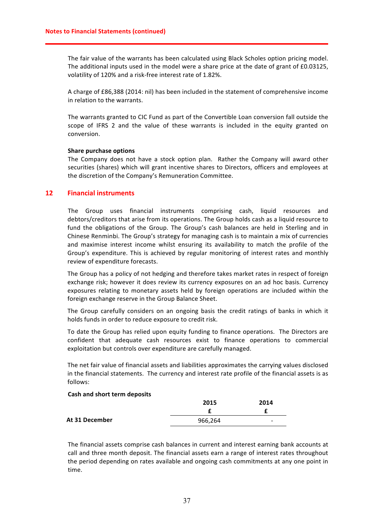The fair value of the warrants has been calculated using Black Scholes option pricing model. The additional inputs used in the model were a share price at the date of grant of £0.03125, volatility of 120% and a risk-free interest rate of 1.82%.

A charge of £86,388 (2014: nil) has been included in the statement of comprehensive income in relation to the warrants.

The warrants granted to CIC Fund as part of the Convertible Loan conversion fall outside the scope of IFRS 2 and the value of these warrants is included in the equity granted on conversion. 

### **Share purchase options**

The Company does not have a stock option plan. Rather the Company will award other securities (shares) which will grant incentive shares to Directors, officers and employees at the discretion of the Company's Remuneration Committee.

# **12 Financial instruments**

The Group uses financial instruments comprising cash, liquid resources and debtors/creditors that arise from its operations. The Group holds cash as a liquid resource to fund the obligations of the Group. The Group's cash balances are held in Sterling and in Chinese Renminbi. The Group's strategy for managing cash is to maintain a mix of currencies and maximise interest income whilst ensuring its availability to match the profile of the Group's expenditure. This is achieved by regular monitoring of interest rates and monthly review of expenditure forecasts.

The Group has a policy of not hedging and therefore takes market rates in respect of foreign exchange risk; however it does review its currency exposures on an ad hoc basis. Currency exposures relating to monetary assets held by foreign operations are included within the foreign exchange reserve in the Group Balance Sheet.

The Group carefully considers on an ongoing basis the credit ratings of banks in which it holds funds in order to reduce exposure to credit risk.

To date the Group has relied upon equity funding to finance operations. The Directors are confident that adequate cash resources exist to finance operations to commercial exploitation but controls over expenditure are carefully managed.

The net fair value of financial assets and liabilities approximates the carrying values disclosed in the financial statements. The currency and interest rate profile of the financial assets is as follows:

### **Cash and short term deposits**

|                | 2015    | 2014 |
|----------------|---------|------|
|                |         |      |
| At 31 December | 966,264 | -    |

The financial assets comprise cash balances in current and interest earning bank accounts at call and three month deposit. The financial assets earn a range of interest rates throughout the period depending on rates available and ongoing cash commitments at any one point in time.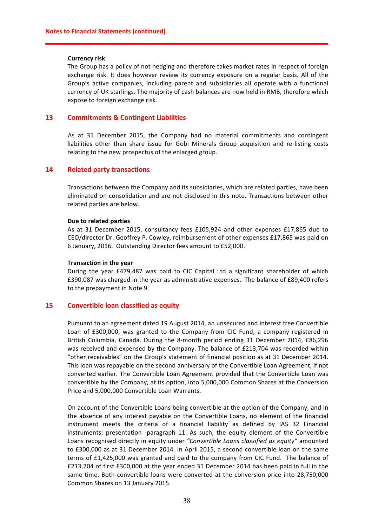#### **Currency risk**

The Group has a policy of not hedging and therefore takes market rates in respect of foreign exchange risk. It does however review its currency exposure on a regular basis. All of the Group's active companies, including parent and subsidiaries all operate with a functional currency of UK starlings. The majority of cash balances are now held in RMB, therefore which expose to foreign exchange risk.

# **13 Commitments & Contingent Liabilities**

As at 31 December 2015, the Company had no material commitments and contingent liabilities other than share issue for Gobi Minerals Group acquisition and re-listing costs relating to the new prospectus of the enlarged group.

# **14 Related party transactions**

Transactions between the Company and its subsidiaries, which are related parties, have been eliminated on consolidation and are not disclosed in this note. Transactions between other related parties are below.

#### **Due to related parties**

As at 31 December 2015, consultancy fees £105,924 and other expenses £17,865 due to CEO/director Dr. Geoffrey P. Cowley, reimbursement of other expenses £17,865 was paid on 6 January, 2016. Outstanding Director fees amount to £52,000.

#### **Transaction in the year**

During the year £479,487 was paid to CIC Capital Ltd a significant shareholder of which £390,087 was charged in the year as administrative expenses. The balance of £89,400 refers to the prepayment in Note 9.

# **15 Convertible loan classified as equity**

Pursuant to an agreement dated 19 August 2014, an unsecured and interest free Convertible Loan of £300,000, was granted to the Company from CIC Fund, a company registered in British Columbia, Canada. During the 8-month period ending 31 December 2014, £86,296 was received and expensed by the Company. The balance of £213,704 was recorded within "other receivables" on the Group's statement of financial position as at 31 December 2014. This loan was repayable on the second anniversary of the Convertible Loan Agreement, if not converted earlier. The Convertible Loan Agreement provided that the Convertible Loan was convertible by the Company, at its option, into 5,000,000 Common Shares at the Conversion Price and 5,000,000 Convertible Loan Warrants.

On account of the Convertible Loans being convertible at the option of the Company, and in the absence of any interest payable on the Convertible Loans, no element of the financial instrument meets the criteria of a financial liability as defined by IAS 32 Financial instruments: presentation -paragraph 11. As such, the equity element of the Convertible Loans recognised directly in equity under "Convertible Loans classified as equity" amounted to £300,000 as at 31 December 2014. In April 2015, a second convertible loan on the same terms of  $£1,425,000$  was granted and paid to the company from CIC Fund. The balance of £213,704 of first £300,000 at the year ended 31 December 2014 has been paid in full in the same time. Both convertible loans were converted at the conversion price into 28,750,000 Common Shares on 13 January 2015.